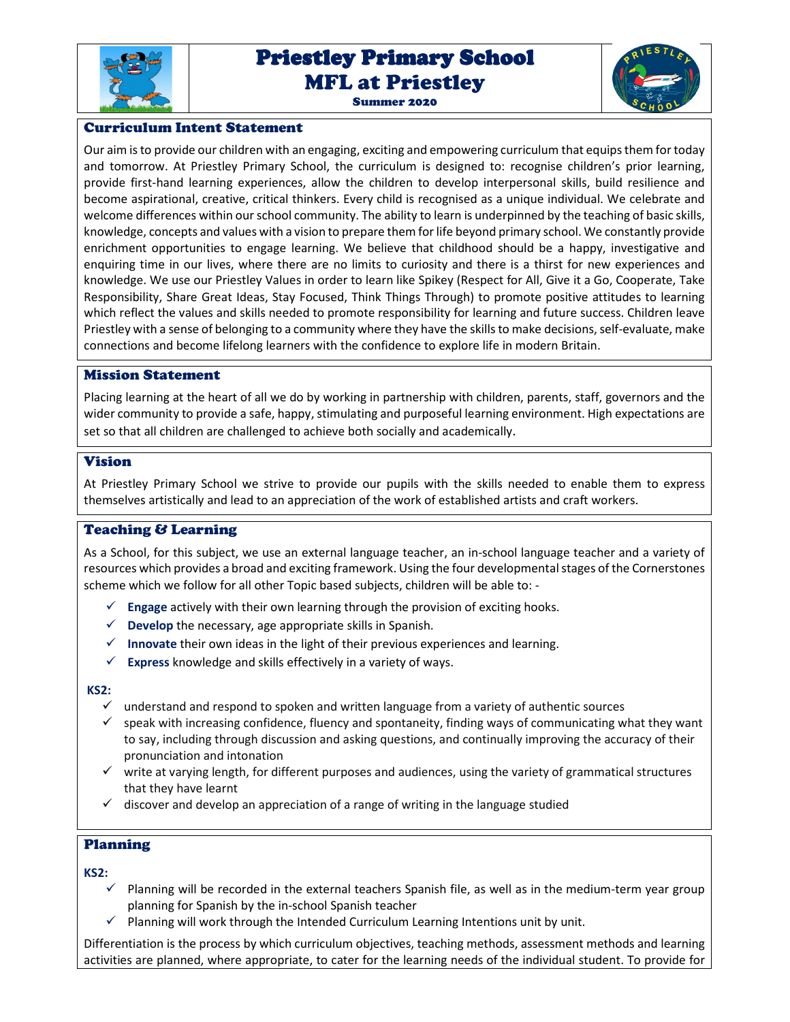

# Priestley Primary School Priestley Primary School MFL at Priestley Summer 2020



## Curriculum Intent Statement

Our aim is to provide our children with an engaging, exciting and empowering curriculum that equips them for today and tomorrow. At Priestley Primary School, the curriculum is designed to: recognise children's prior learning, provide first-hand learning experiences, allow the children to develop interpersonal skills, build resilience and become aspirational, creative, critical thinkers. Every child is recognised as a unique individual. We celebrate and welcome differences within our school community. The ability to learn is underpinned by the teaching of basic skills, knowledge, concepts and values with a vision to prepare them for life beyond primary school. We constantly provide enrichment opportunities to engage learning. We believe that childhood should be a happy, investigative and enquiring time in our lives, where there are no limits to curiosity and there is a thirst for new experiences and knowledge. We use our Priestley Values in order to learn like Spikey (Respect for All, Give it a Go, Cooperate, Take Responsibility, Share Great Ideas, Stay Focused, Think Things Through) to promote positive attitudes to learning which reflect the values and skills needed to promote responsibility for learning and future success. Children leave Priestley with a sense of belonging to a community where they have the skills to make decisions, self-evaluate, make connections and become lifelong learners with the confidence to explore life in modern Britain.

#### Mission Statement

Placing learning at the heart of all we do by working in partnership with children, parents, staff, governors and the wider community to provide a safe, happy, stimulating and purposeful learning environment. High expectations are set so that all children are challenged to achieve both socially and academically.

## Vision

At Priestley Primary School we strive to provide our pupils with the skills needed to enable them to express themselves artistically and lead to an appreciation of the work of established artists and craft workers.

## Teaching & Learning

As a School, for this subject, we use an external language teacher, an in-school language teacher and a variety of resources which provides a broad and exciting framework. Using the four developmental stages of the Cornerstones scheme which we follow for all other Topic based subjects, children will be able to: -

- **Engage** actively with their own learning through the provision of exciting hooks.
- $\checkmark$  **Develop** the necessary, age appropriate skills in Spanish.
- **Innovate** their own ideas in the light of their previous experiences and learning.
- $\checkmark$  **Express** knowledge and skills effectively in a variety of ways.

#### **KS2:**

- $\checkmark$  understand and respond to spoken and written language from a variety of authentic sources
- $\checkmark$  speak with increasing confidence, fluency and spontaneity, finding ways of communicating what they want to say, including through discussion and asking questions, and continually improving the accuracy of their pronunciation and intonation
- $\checkmark$  write at varying length, for different purposes and audiences, using the variety of grammatical structures that they have learnt
- $\checkmark$  discover and develop an appreciation of a range of writing in the language studied

## Planning

**KS2:** 

- $\checkmark$  Planning will be recorded in the external teachers Spanish file, as well as in the medium-term year group planning for Spanish by the in-school Spanish teacher
- $\checkmark$  Planning will work through the Intended Curriculum Learning Intentions unit by unit.

Differentiation is the process by which curriculum objectives, teaching methods, assessment methods and learning activities are planned, where appropriate, to cater for the learning needs of the individual student. To provide for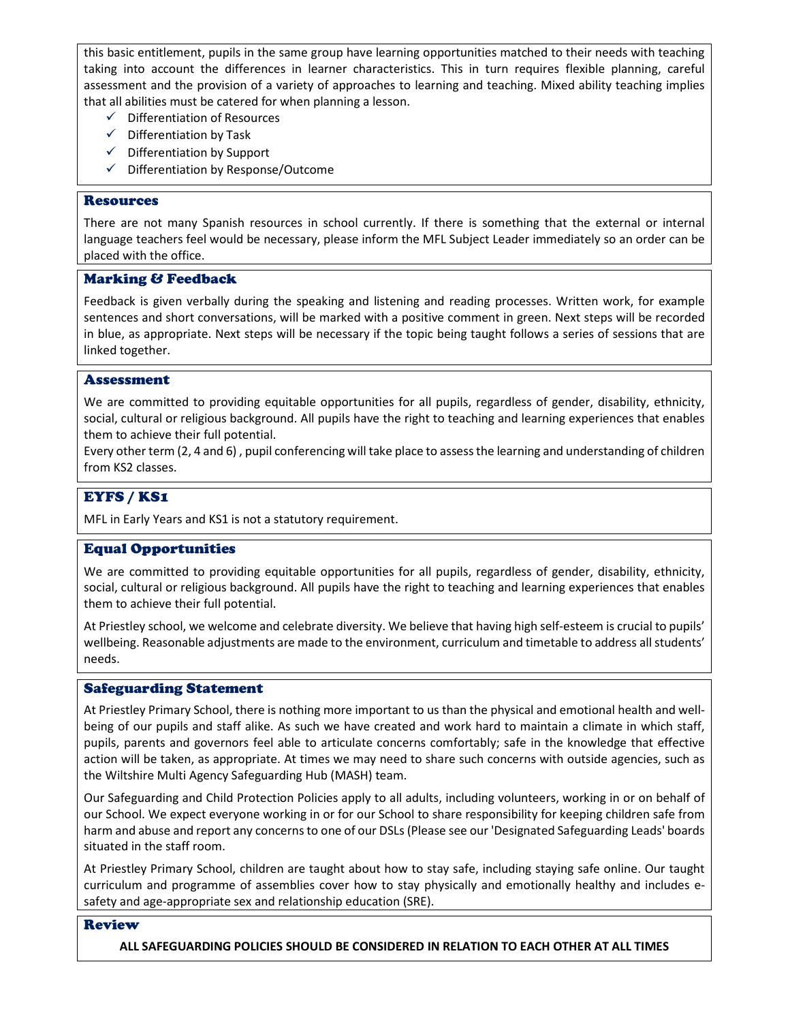this basic entitlement, pupils in the same group have learning opportunities matched to their needs with teaching taking into account the differences in learner characteristics. This in turn requires flexible planning, careful assessment and the provision of a variety of approaches to learning and teaching. Mixed ability teaching implies that all abilities must be catered for when planning a lesson.

- $\checkmark$  Differentiation of Resources
- $\checkmark$  Differentiation by Task
- $\checkmark$  Differentiation by Support
- $\checkmark$  Differentiation by Response/Outcome

#### Resources

There are not many Spanish resources in school currently. If there is something that the external or internal language teachers feel would be necessary, please inform the MFL Subject Leader immediately so an order can be placed with the office.

#### Marking & Feedback

Feedback is given verbally during the speaking and listening and reading processes. Written work, for example sentences and short conversations, will be marked with a positive comment in green. Next steps will be recorded in blue, as appropriate. Next steps will be necessary if the topic being taught follows a series of sessions that are linked together.

#### Assessment

We are committed to providing equitable opportunities for all pupils, regardless of gender, disability, ethnicity, social, cultural or religious background. All pupils have the right to teaching and learning experiences that enables them to achieve their full potential.

Every other term (2, 4 and 6) , pupil conferencing will take place to assess the learning and understanding of children from KS2 classes.

## EYFS / KS1

MFL in Early Years and KS1 is not a statutory requirement.

## Equal Opportunities

We are committed to providing equitable opportunities for all pupils, regardless of gender, disability, ethnicity, social, cultural or religious background. All pupils have the right to teaching and learning experiences that enables them to achieve their full potential.

At Priestley school, we welcome and celebrate diversity. We believe that having high self-esteem is crucial to pupils' wellbeing. Reasonable adjustments are made to the environment, curriculum and timetable to address all students' needs.

#### Safeguarding Statement

At Priestley Primary School, there is nothing more important to us than the physical and emotional health and wellbeing of our pupils and staff alike. As such we have created and work hard to maintain a climate in which staff, pupils, parents and governors feel able to articulate concerns comfortably; safe in the knowledge that effective action will be taken, as appropriate. At times we may need to share such concerns with outside agencies, such as the Wiltshire Multi Agency Safeguarding Hub (MASH) team.

Our Safeguarding and Child Protection Policies apply to all adults, including volunteers, working in or on behalf of our School. We expect everyone working in or for our School to share responsibility for keeping children safe from harm and abuse and report any concerns to one of our DSLs (Please see our 'Designated Safeguarding Leads' boards situated in the staff room.

At Priestley Primary School, children are taught about how to stay safe, including staying safe online. Our taught curriculum and programme of assemblies cover how to stay physically and emotionally healthy and includes esafety and age-appropriate sex and relationship education (SRE).

#### Review

**ALL SAFEGUARDING POLICIES SHOULD BE CONSIDERED IN RELATION TO EACH OTHER AT ALL TIMES**